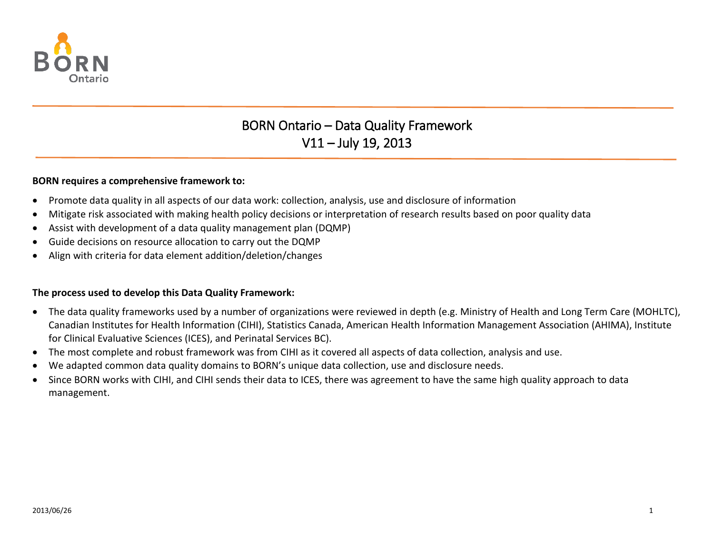

# BORN Ontario – Data Quality Framework V11 – July 19, 2013

#### **BORN requires a comprehensive framework to:**

- Promote data quality in all aspects of our data work: collection, analysis, use and disclosure of information
- Mitigate risk associated with making health policy decisions or interpretation of research results based on poor quality data
- Assist with development of a data quality management plan (DQMP)
- Guide decisions on resource allocation to carry out the DQMP
- Align with criteria for data element addition/deletion/changes

#### **The process used to develop this Data Quality Framework:**

- The data quality frameworks used by a number of organizations were reviewed in depth (e.g. Ministry of Health and Long Term Care (MOHLTC), Canadian Institutes for Health Information (CIHI), Statistics Canada, American Health Information Management Association (AHIMA), Institute for Clinical Evaluative Sciences (ICES), and Perinatal Services BC).
- The most complete and robust framework was from CIHI as it covered all aspects of data collection, analysis and use.
- We adapted common data quality domains to BORN's unique data collection, use and disclosure needs.
- Since BORN works with CIHI, and CIHI sends their data to ICES, there was agreement to have the same high quality approach to data management.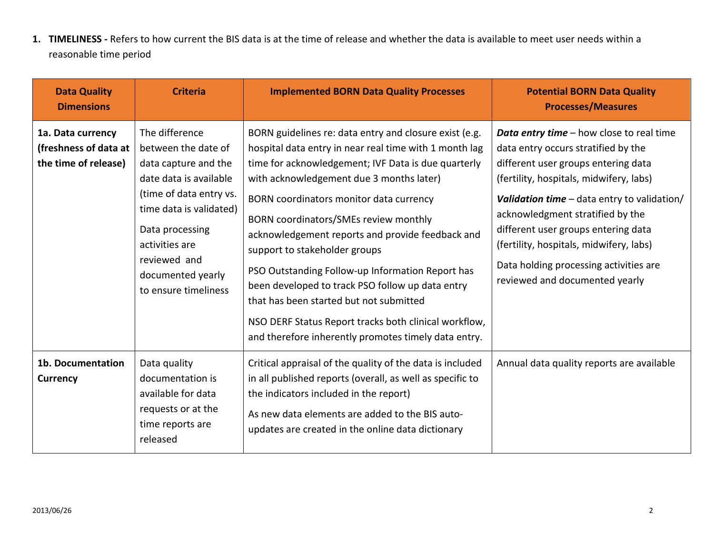**1. TIMELINESS -** Refers to how current the BIS data is at the time of release and whether the data is available to meet user needs within a reasonable time period

| <b>Data Quality</b><br><b>Dimensions</b>                           | <b>Criteria</b>                                                                                                                                                                                                                                 | <b>Implemented BORN Data Quality Processes</b>                                                                                                                                                                                                                                                                                                                                                                                                                                                                                                                                                                                                                   | <b>Potential BORN Data Quality</b><br><b>Processes/Measures</b>                                                                                                                                                                                                                                                                                                                                                      |
|--------------------------------------------------------------------|-------------------------------------------------------------------------------------------------------------------------------------------------------------------------------------------------------------------------------------------------|------------------------------------------------------------------------------------------------------------------------------------------------------------------------------------------------------------------------------------------------------------------------------------------------------------------------------------------------------------------------------------------------------------------------------------------------------------------------------------------------------------------------------------------------------------------------------------------------------------------------------------------------------------------|----------------------------------------------------------------------------------------------------------------------------------------------------------------------------------------------------------------------------------------------------------------------------------------------------------------------------------------------------------------------------------------------------------------------|
| 1a. Data currency<br>(freshness of data at<br>the time of release) | The difference<br>between the date of<br>data capture and the<br>date data is available<br>(time of data entry vs.<br>time data is validated)<br>Data processing<br>activities are<br>reviewed and<br>documented yearly<br>to ensure timeliness | BORN guidelines re: data entry and closure exist (e.g.<br>hospital data entry in near real time with 1 month lag<br>time for acknowledgement; IVF Data is due quarterly<br>with acknowledgement due 3 months later)<br>BORN coordinators monitor data currency<br>BORN coordinators/SMEs review monthly<br>acknowledgement reports and provide feedback and<br>support to stakeholder groups<br>PSO Outstanding Follow-up Information Report has<br>been developed to track PSO follow up data entry<br>that has been started but not submitted<br>NSO DERF Status Report tracks both clinical workflow,<br>and therefore inherently promotes timely data entry. | Data entry time - how close to real time<br>data entry occurs stratified by the<br>different user groups entering data<br>(fertility, hospitals, midwifery, labs)<br>Validation time $-$ data entry to validation/<br>acknowledgment stratified by the<br>different user groups entering data<br>(fertility, hospitals, midwifery, labs)<br>Data holding processing activities are<br>reviewed and documented yearly |
| 1b. Documentation<br><b>Currency</b>                               | Data quality<br>documentation is<br>available for data<br>requests or at the<br>time reports are<br>released                                                                                                                                    | Critical appraisal of the quality of the data is included<br>in all published reports (overall, as well as specific to<br>the indicators included in the report)<br>As new data elements are added to the BIS auto-<br>updates are created in the online data dictionary                                                                                                                                                                                                                                                                                                                                                                                         | Annual data quality reports are available                                                                                                                                                                                                                                                                                                                                                                            |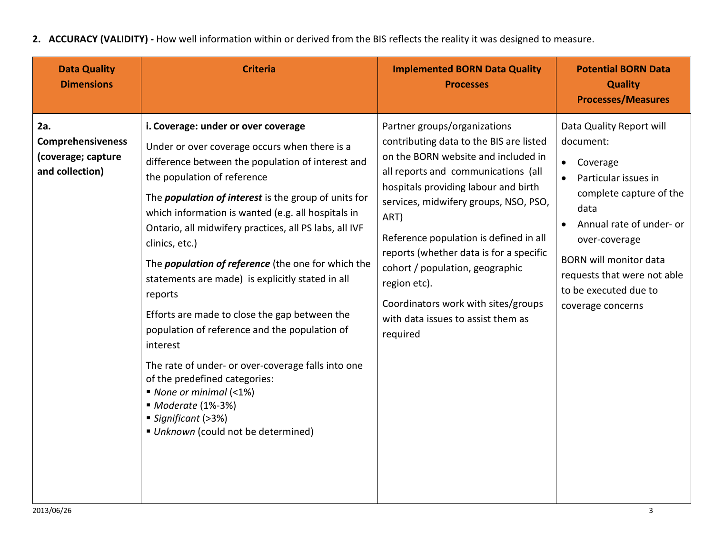**2. ACCURACY (VALIDITY) -** How well information within or derived from the BIS reflects the reality it was designed to measure.

| <b>Data Quality</b><br><b>Dimensions</b>                                 | <b>Criteria</b>                                                                                                                                                                                                                                                                                                                                                                                                                                                                                                                                                                                                                                                                                                                                                                                                                    | <b>Implemented BORN Data Quality</b><br><b>Processes</b>                                                                                                                                                                                                                                                                                                                                                                                                                        | <b>Potential BORN Data</b><br><b>Quality</b><br><b>Processes/Measures</b>                                                                                                                                                                                                            |
|--------------------------------------------------------------------------|------------------------------------------------------------------------------------------------------------------------------------------------------------------------------------------------------------------------------------------------------------------------------------------------------------------------------------------------------------------------------------------------------------------------------------------------------------------------------------------------------------------------------------------------------------------------------------------------------------------------------------------------------------------------------------------------------------------------------------------------------------------------------------------------------------------------------------|---------------------------------------------------------------------------------------------------------------------------------------------------------------------------------------------------------------------------------------------------------------------------------------------------------------------------------------------------------------------------------------------------------------------------------------------------------------------------------|--------------------------------------------------------------------------------------------------------------------------------------------------------------------------------------------------------------------------------------------------------------------------------------|
| 2a.<br><b>Comprehensiveness</b><br>(coverage; capture<br>and collection) | i. Coverage: under or over coverage<br>Under or over coverage occurs when there is a<br>difference between the population of interest and<br>the population of reference<br>The <i>population of interest</i> is the group of units for<br>which information is wanted (e.g. all hospitals in<br>Ontario, all midwifery practices, all PS labs, all IVF<br>clinics, etc.)<br>The <i>population of reference</i> (the one for which the<br>statements are made) is explicitly stated in all<br>reports<br>Efforts are made to close the gap between the<br>population of reference and the population of<br>interest<br>The rate of under- or over-coverage falls into one<br>of the predefined categories:<br>$\blacksquare$ None or minimal (<1%)<br>■ Moderate (1%-3%)<br>Significant (>3%)<br>Unknown (could not be determined) | Partner groups/organizations<br>contributing data to the BIS are listed<br>on the BORN website and included in<br>all reports and communications (all<br>hospitals providing labour and birth<br>services, midwifery groups, NSO, PSO,<br>ART)<br>Reference population is defined in all<br>reports (whether data is for a specific<br>cohort / population, geographic<br>region etc).<br>Coordinators work with sites/groups<br>with data issues to assist them as<br>required | Data Quality Report will<br>document:<br>Coverage<br>$\bullet$<br>Particular issues in<br>complete capture of the<br>data<br>Annual rate of under- or<br>over-coverage<br><b>BORN will monitor data</b><br>requests that were not able<br>to be executed due to<br>coverage concerns |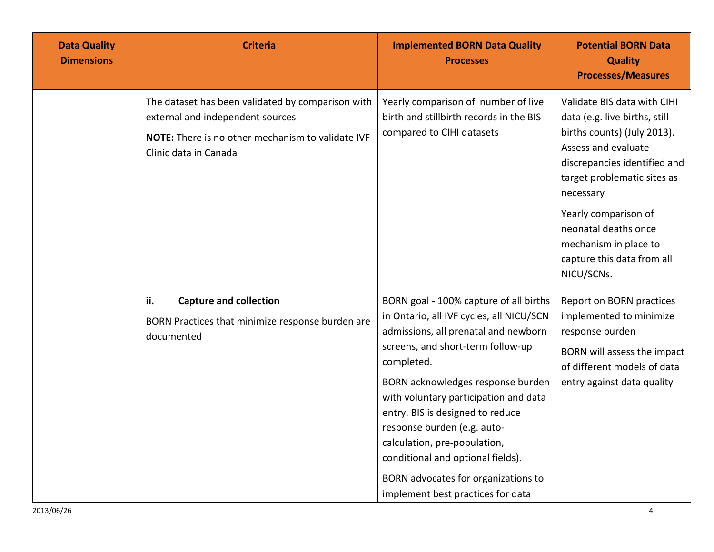| <b>Data Quality</b><br><b>Dimensions</b> | <b>Criteria</b>                                                                                                                                                     | <b>Implemented BORN Data Quality</b><br><b>Processes</b>                                                                                                                                                                                                                                                                                                                                                                                                                        | <b>Potential BORN Data</b><br><b>Quality</b><br><b>Processes/Measures</b>                                                                                                                                                                                                                                           |
|------------------------------------------|---------------------------------------------------------------------------------------------------------------------------------------------------------------------|---------------------------------------------------------------------------------------------------------------------------------------------------------------------------------------------------------------------------------------------------------------------------------------------------------------------------------------------------------------------------------------------------------------------------------------------------------------------------------|---------------------------------------------------------------------------------------------------------------------------------------------------------------------------------------------------------------------------------------------------------------------------------------------------------------------|
|                                          | The dataset has been validated by comparison with<br>external and independent sources<br>NOTE: There is no other mechanism to validate IVF<br>Clinic data in Canada | Yearly comparison of number of live<br>birth and stillbirth records in the BIS<br>compared to CIHI datasets                                                                                                                                                                                                                                                                                                                                                                     | Validate BIS data with CIHI<br>data (e.g. live births, still<br>births counts) (July 2013).<br>Assess and evaluate<br>discrepancies identified and<br>target problematic sites as<br>necessary<br>Yearly comparison of<br>neonatal deaths once<br>mechanism in place to<br>capture this data from all<br>NICU/SCNs. |
|                                          | ii.<br><b>Capture and collection</b><br>BORN Practices that minimize response burden are<br>documented                                                              | BORN goal - 100% capture of all births<br>in Ontario, all IVF cycles, all NICU/SCN<br>admissions, all prenatal and newborn<br>screens, and short-term follow-up<br>completed.<br>BORN acknowledges response burden<br>with voluntary participation and data<br>entry. BIS is designed to reduce<br>response burden (e.g. auto-<br>calculation, pre-population,<br>conditional and optional fields).<br>BORN advocates for organizations to<br>implement best practices for data | Report on BORN practices<br>implemented to minimize<br>response burden<br>BORN will assess the impact<br>of different models of data<br>entry against data quality                                                                                                                                                  |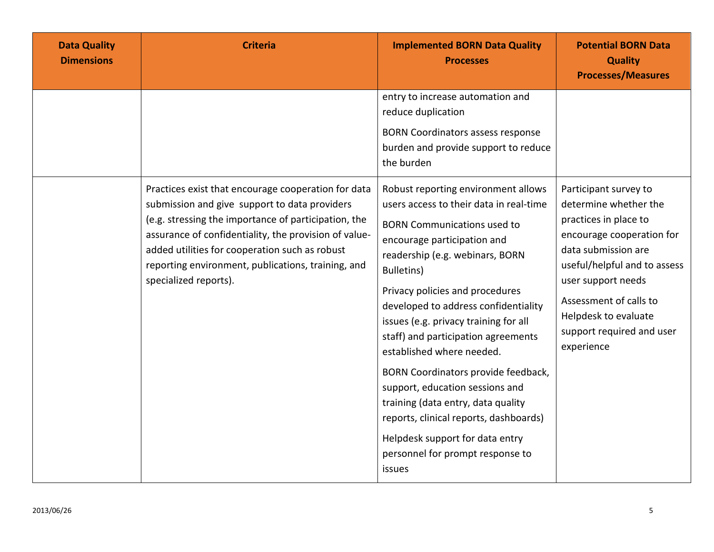| <b>Data Quality</b><br><b>Dimensions</b> | <b>Criteria</b>                                                                                                                                                                                                                                                                                                                                        | <b>Implemented BORN Data Quality</b><br><b>Processes</b>                                                                                                                                                                                                                                                                                                                                                                                                                                                                                                                                                                                        | <b>Potential BORN Data</b><br><b>Quality</b><br><b>Processes/Measures</b>                                                                                                                                                                                                      |
|------------------------------------------|--------------------------------------------------------------------------------------------------------------------------------------------------------------------------------------------------------------------------------------------------------------------------------------------------------------------------------------------------------|-------------------------------------------------------------------------------------------------------------------------------------------------------------------------------------------------------------------------------------------------------------------------------------------------------------------------------------------------------------------------------------------------------------------------------------------------------------------------------------------------------------------------------------------------------------------------------------------------------------------------------------------------|--------------------------------------------------------------------------------------------------------------------------------------------------------------------------------------------------------------------------------------------------------------------------------|
|                                          |                                                                                                                                                                                                                                                                                                                                                        | entry to increase automation and<br>reduce duplication<br><b>BORN Coordinators assess response</b><br>burden and provide support to reduce<br>the burden                                                                                                                                                                                                                                                                                                                                                                                                                                                                                        |                                                                                                                                                                                                                                                                                |
|                                          | Practices exist that encourage cooperation for data<br>submission and give support to data providers<br>(e.g. stressing the importance of participation, the<br>assurance of confidentiality, the provision of value-<br>added utilities for cooperation such as robust<br>reporting environment, publications, training, and<br>specialized reports). | Robust reporting environment allows<br>users access to their data in real-time<br><b>BORN Communications used to</b><br>encourage participation and<br>readership (e.g. webinars, BORN<br><b>Bulletins</b> )<br>Privacy policies and procedures<br>developed to address confidentiality<br>issues (e.g. privacy training for all<br>staff) and participation agreements<br>established where needed.<br>BORN Coordinators provide feedback,<br>support, education sessions and<br>training (data entry, data quality<br>reports, clinical reports, dashboards)<br>Helpdesk support for data entry<br>personnel for prompt response to<br>issues | Participant survey to<br>determine whether the<br>practices in place to<br>encourage cooperation for<br>data submission are<br>useful/helpful and to assess<br>user support needs<br>Assessment of calls to<br>Helpdesk to evaluate<br>support required and user<br>experience |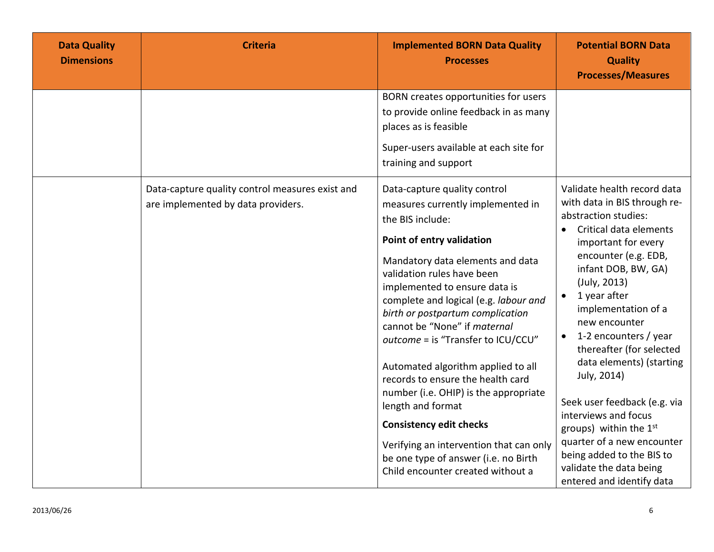| <b>Data Quality</b><br><b>Dimensions</b> | <b>Criteria</b>                                                                       | <b>Implemented BORN Data Quality</b><br><b>Processes</b>                                                                                                                                                                                                                                                                                                                                                                                                                                                                                                                                                                                                                    | <b>Potential BORN Data</b><br><b>Quality</b><br><b>Processes/Measures</b>                                                                                                                                                                                                                                                                                                                                                                                                                                                                                                                                 |
|------------------------------------------|---------------------------------------------------------------------------------------|-----------------------------------------------------------------------------------------------------------------------------------------------------------------------------------------------------------------------------------------------------------------------------------------------------------------------------------------------------------------------------------------------------------------------------------------------------------------------------------------------------------------------------------------------------------------------------------------------------------------------------------------------------------------------------|-----------------------------------------------------------------------------------------------------------------------------------------------------------------------------------------------------------------------------------------------------------------------------------------------------------------------------------------------------------------------------------------------------------------------------------------------------------------------------------------------------------------------------------------------------------------------------------------------------------|
|                                          |                                                                                       | BORN creates opportunities for users<br>to provide online feedback in as many<br>places as is feasible<br>Super-users available at each site for<br>training and support                                                                                                                                                                                                                                                                                                                                                                                                                                                                                                    |                                                                                                                                                                                                                                                                                                                                                                                                                                                                                                                                                                                                           |
|                                          | Data-capture quality control measures exist and<br>are implemented by data providers. | Data-capture quality control<br>measures currently implemented in<br>the BIS include:<br>Point of entry validation<br>Mandatory data elements and data<br>validation rules have been<br>implemented to ensure data is<br>complete and logical (e.g. labour and<br>birth or postpartum complication<br>cannot be "None" if maternal<br>outcome = is "Transfer to ICU/CCU"<br>Automated algorithm applied to all<br>records to ensure the health card<br>number (i.e. OHIP) is the appropriate<br>length and format<br><b>Consistency edit checks</b><br>Verifying an intervention that can only<br>be one type of answer (i.e. no Birth<br>Child encounter created without a | Validate health record data<br>with data in BIS through re-<br>abstraction studies:<br>Critical data elements<br>$\bullet$<br>important for every<br>encounter (e.g. EDB,<br>infant DOB, BW, GA)<br>(July, 2013)<br>1 year after<br>$\bullet$<br>implementation of a<br>new encounter<br>1-2 encounters / year<br>$\bullet$<br>thereafter (for selected<br>data elements) (starting<br>July, 2014)<br>Seek user feedback (e.g. via<br>interviews and focus<br>groups) within the $1st$<br>quarter of a new encounter<br>being added to the BIS to<br>validate the data being<br>entered and identify data |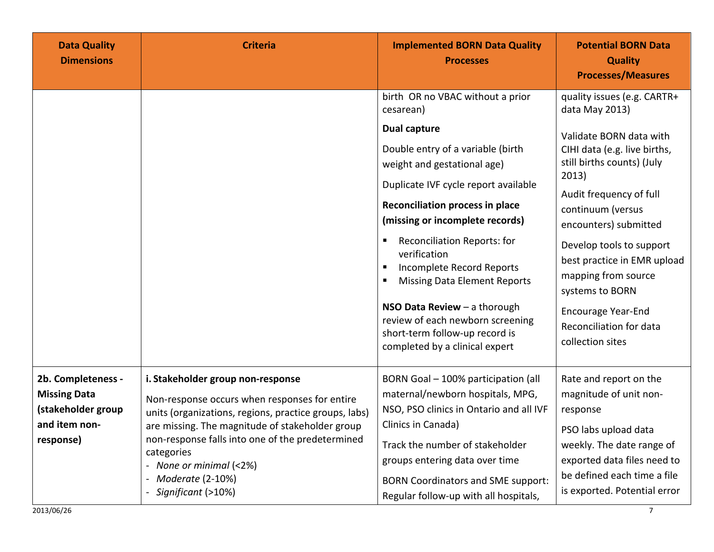| <b>Data Quality</b><br><b>Dimensions</b>                                                      | <b>Criteria</b>                                                                                                                                                                                                                                                                                                                       | <b>Implemented BORN Data Quality</b><br><b>Processes</b>                                                                                                                                                                                                                                                                                                                                                                                                                                                                          | <b>Potential BORN Data</b><br><b>Quality</b><br><b>Processes/Measures</b>                                                                                                                                                                                                                                                                                                                                 |
|-----------------------------------------------------------------------------------------------|---------------------------------------------------------------------------------------------------------------------------------------------------------------------------------------------------------------------------------------------------------------------------------------------------------------------------------------|-----------------------------------------------------------------------------------------------------------------------------------------------------------------------------------------------------------------------------------------------------------------------------------------------------------------------------------------------------------------------------------------------------------------------------------------------------------------------------------------------------------------------------------|-----------------------------------------------------------------------------------------------------------------------------------------------------------------------------------------------------------------------------------------------------------------------------------------------------------------------------------------------------------------------------------------------------------|
|                                                                                               |                                                                                                                                                                                                                                                                                                                                       | birth OR no VBAC without a prior<br>cesarean)<br><b>Dual capture</b><br>Double entry of a variable (birth<br>weight and gestational age)<br>Duplicate IVF cycle report available<br><b>Reconciliation process in place</b><br>(missing or incomplete records)<br><b>Reconciliation Reports: for</b><br>verification<br>Incomplete Record Reports<br><b>Missing Data Element Reports</b><br>NSO Data Review $-$ a thorough<br>review of each newborn screening<br>short-term follow-up record is<br>completed by a clinical expert | quality issues (e.g. CARTR+<br>data May 2013)<br>Validate BORN data with<br>CIHI data (e.g. live births,<br>still births counts) (July<br>2013)<br>Audit frequency of full<br>continuum (versus<br>encounters) submitted<br>Develop tools to support<br>best practice in EMR upload<br>mapping from source<br>systems to BORN<br><b>Encourage Year-End</b><br>Reconciliation for data<br>collection sites |
| 2b. Completeness -<br><b>Missing Data</b><br>(stakeholder group<br>and item non-<br>response) | i. Stakeholder group non-response<br>Non-response occurs when responses for entire<br>units (organizations, regions, practice groups, labs)<br>are missing. The magnitude of stakeholder group<br>non-response falls into one of the predetermined<br>categories<br>- None or minimal (<2%)<br>Moderate (2-10%)<br>Significant (>10%) | BORN Goal - 100% participation (all<br>maternal/newborn hospitals, MPG,<br>NSO, PSO clinics in Ontario and all IVF<br>Clinics in Canada)<br>Track the number of stakeholder<br>groups entering data over time<br><b>BORN Coordinators and SME support:</b><br>Regular follow-up with all hospitals,                                                                                                                                                                                                                               | Rate and report on the<br>magnitude of unit non-<br>response<br>PSO labs upload data<br>weekly. The date range of<br>exported data files need to<br>be defined each time a file<br>is exported. Potential error                                                                                                                                                                                           |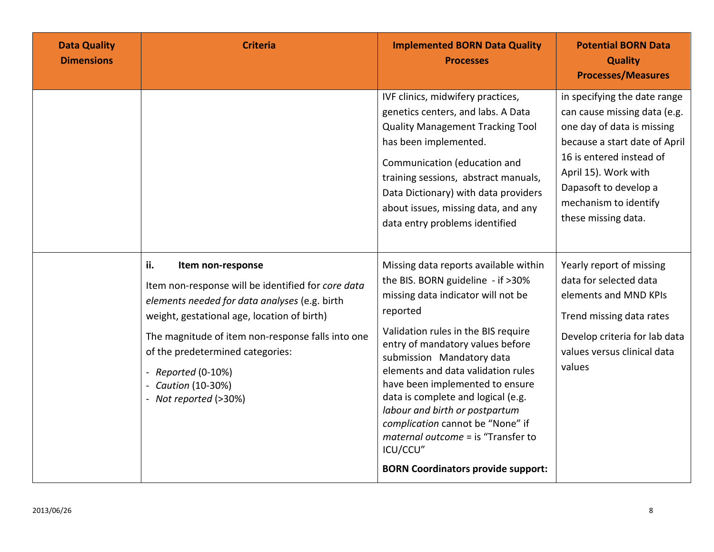| <b>Data Quality</b><br><b>Dimensions</b> | <b>Criteria</b>                                                                                                                                                                                                                                                                                                                            | <b>Implemented BORN Data Quality</b><br><b>Processes</b>                                                                                                                                                                                                                                                                                                                                                                                                                                                                 | <b>Potential BORN Data</b><br><b>Quality</b><br><b>Processes/Measures</b>                                                                                                                                                                                |
|------------------------------------------|--------------------------------------------------------------------------------------------------------------------------------------------------------------------------------------------------------------------------------------------------------------------------------------------------------------------------------------------|--------------------------------------------------------------------------------------------------------------------------------------------------------------------------------------------------------------------------------------------------------------------------------------------------------------------------------------------------------------------------------------------------------------------------------------------------------------------------------------------------------------------------|----------------------------------------------------------------------------------------------------------------------------------------------------------------------------------------------------------------------------------------------------------|
|                                          |                                                                                                                                                                                                                                                                                                                                            | IVF clinics, midwifery practices,<br>genetics centers, and labs. A Data<br><b>Quality Management Tracking Tool</b><br>has been implemented.<br>Communication (education and<br>training sessions, abstract manuals,<br>Data Dictionary) with data providers<br>about issues, missing data, and any<br>data entry problems identified                                                                                                                                                                                     | in specifying the date range<br>can cause missing data (e.g.<br>one day of data is missing<br>because a start date of April<br>16 is entered instead of<br>April 15). Work with<br>Dapasoft to develop a<br>mechanism to identify<br>these missing data. |
|                                          | ii.<br>Item non-response<br>Item non-response will be identified for core data<br>elements needed for data analyses (e.g. birth<br>weight, gestational age, location of birth)<br>The magnitude of item non-response falls into one<br>of the predetermined categories:<br>- Reported (0-10%)<br>Caution (10-30%)<br>- Not reported (>30%) | Missing data reports available within<br>the BIS. BORN guideline - if >30%<br>missing data indicator will not be<br>reported<br>Validation rules in the BIS require<br>entry of mandatory values before<br>submission Mandatory data<br>elements and data validation rules<br>have been implemented to ensure<br>data is complete and logical (e.g.<br>labour and birth or postpartum<br>complication cannot be "None" if<br>maternal outcome = is "Transfer to<br>ICU/CCU"<br><b>BORN Coordinators provide support:</b> | Yearly report of missing<br>data for selected data<br>elements and MND KPIs<br>Trend missing data rates<br>Develop criteria for lab data<br>values versus clinical data<br>values                                                                        |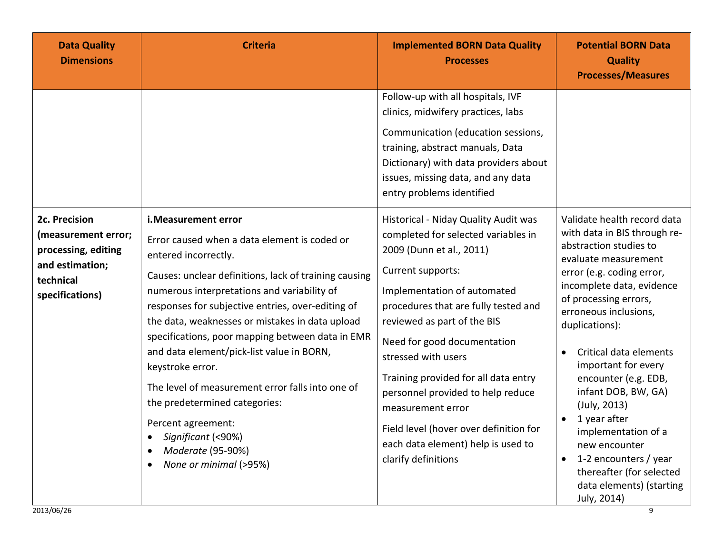| <b>Data Quality</b><br><b>Dimensions</b>                                                                       | <b>Criteria</b>                                                                                                                                                                                                                                                                                                                                                                                                                                                                                                                                                                                                                     | <b>Implemented BORN Data Quality</b><br><b>Processes</b>                                                                                                                                                                                                                                                                                                                                                                                                                                          | <b>Potential BORN Data</b><br><b>Quality</b><br><b>Processes/Measures</b>                                                                                                                                                                                                                                                                                                                                                                                                                                                                                  |
|----------------------------------------------------------------------------------------------------------------|-------------------------------------------------------------------------------------------------------------------------------------------------------------------------------------------------------------------------------------------------------------------------------------------------------------------------------------------------------------------------------------------------------------------------------------------------------------------------------------------------------------------------------------------------------------------------------------------------------------------------------------|---------------------------------------------------------------------------------------------------------------------------------------------------------------------------------------------------------------------------------------------------------------------------------------------------------------------------------------------------------------------------------------------------------------------------------------------------------------------------------------------------|------------------------------------------------------------------------------------------------------------------------------------------------------------------------------------------------------------------------------------------------------------------------------------------------------------------------------------------------------------------------------------------------------------------------------------------------------------------------------------------------------------------------------------------------------------|
|                                                                                                                |                                                                                                                                                                                                                                                                                                                                                                                                                                                                                                                                                                                                                                     | Follow-up with all hospitals, IVF<br>clinics, midwifery practices, labs<br>Communication (education sessions,<br>training, abstract manuals, Data<br>Dictionary) with data providers about<br>issues, missing data, and any data<br>entry problems identified                                                                                                                                                                                                                                     |                                                                                                                                                                                                                                                                                                                                                                                                                                                                                                                                                            |
| 2c. Precision<br>(measurement error;<br>processing, editing<br>and estimation;<br>technical<br>specifications) | i. Measurement error<br>Error caused when a data element is coded or<br>entered incorrectly.<br>Causes: unclear definitions, lack of training causing<br>numerous interpretations and variability of<br>responses for subjective entries, over-editing of<br>the data, weaknesses or mistakes in data upload<br>specifications, poor mapping between data in EMR<br>and data element/pick-list value in BORN,<br>keystroke error.<br>The level of measurement error falls into one of<br>the predetermined categories:<br>Percent agreement:<br>Significant (<90%)<br>Moderate (95-90%)<br>٠<br>None or minimal (>95%)<br>$\bullet$ | Historical - Niday Quality Audit was<br>completed for selected variables in<br>2009 (Dunn et al., 2011)<br>Current supports:<br>Implementation of automated<br>procedures that are fully tested and<br>reviewed as part of the BIS<br>Need for good documentation<br>stressed with users<br>Training provided for all data entry<br>personnel provided to help reduce<br>measurement error<br>Field level (hover over definition for<br>each data element) help is used to<br>clarify definitions | Validate health record data<br>with data in BIS through re-<br>abstraction studies to<br>evaluate measurement<br>error (e.g. coding error,<br>incomplete data, evidence<br>of processing errors,<br>erroneous inclusions,<br>duplications):<br>Critical data elements<br>$\bullet$<br>important for every<br>encounter (e.g. EDB,<br>infant DOB, BW, GA)<br>(July, 2013)<br>1 year after<br>$\bullet$<br>implementation of a<br>new encounter<br>1-2 encounters / year<br>$\bullet$<br>thereafter (for selected<br>data elements) (starting<br>July, 2014) |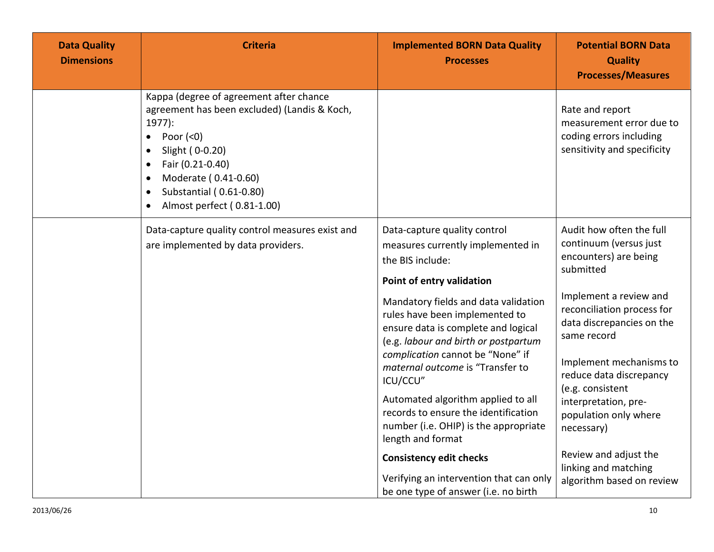| <b>Data Quality</b><br><b>Dimensions</b> | <b>Criteria</b>                                                                                                                                                                                                                                                     | <b>Implemented BORN Data Quality</b><br><b>Processes</b>                                                                                                                                                                                                                                                                                                        | <b>Potential BORN Data</b><br><b>Quality</b><br><b>Processes/Measures</b>                                                                                                                                                                                              |
|------------------------------------------|---------------------------------------------------------------------------------------------------------------------------------------------------------------------------------------------------------------------------------------------------------------------|-----------------------------------------------------------------------------------------------------------------------------------------------------------------------------------------------------------------------------------------------------------------------------------------------------------------------------------------------------------------|------------------------------------------------------------------------------------------------------------------------------------------------------------------------------------------------------------------------------------------------------------------------|
|                                          | Kappa (degree of agreement after chance<br>agreement has been excluded) (Landis & Koch,<br>$1977$ :<br>Poor $(0)$<br>$\bullet$<br>Slight (0-0.20)<br>Fair (0.21-0.40)<br>Moderate (0.41-0.60)<br>Substantial (0.61-0.80)<br>$\bullet$<br>Almost perfect (0.81-1.00) |                                                                                                                                                                                                                                                                                                                                                                 | Rate and report<br>measurement error due to<br>coding errors including<br>sensitivity and specificity                                                                                                                                                                  |
|                                          | Data-capture quality control measures exist and<br>are implemented by data providers.                                                                                                                                                                               | Data-capture quality control<br>measures currently implemented in<br>the BIS include:<br>Point of entry validation<br>Mandatory fields and data validation<br>rules have been implemented to<br>ensure data is complete and logical<br>(e.g. labour and birth or postpartum<br>complication cannot be "None" if<br>maternal outcome is "Transfer to<br>ICU/CCU" | Audit how often the full<br>continuum (versus just<br>encounters) are being<br>submitted<br>Implement a review and<br>reconciliation process for<br>data discrepancies on the<br>same record<br>Implement mechanisms to<br>reduce data discrepancy<br>(e.g. consistent |
|                                          |                                                                                                                                                                                                                                                                     | Automated algorithm applied to all<br>records to ensure the identification<br>number (i.e. OHIP) is the appropriate<br>length and format                                                                                                                                                                                                                        | interpretation, pre-<br>population only where<br>necessary)<br>Review and adjust the<br>linking and matching<br>algorithm based on review                                                                                                                              |
|                                          |                                                                                                                                                                                                                                                                     | <b>Consistency edit checks</b><br>Verifying an intervention that can only<br>be one type of answer (i.e. no birth                                                                                                                                                                                                                                               |                                                                                                                                                                                                                                                                        |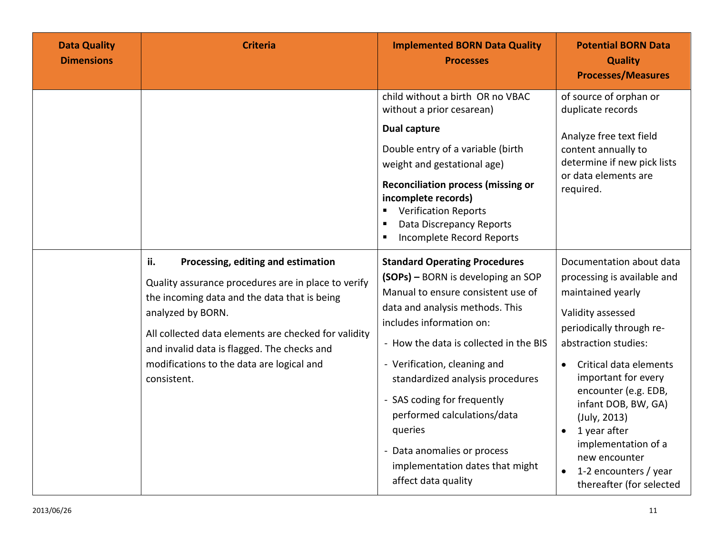| <b>Data Quality</b><br><b>Dimensions</b> | <b>Criteria</b>                                                                                                                                                                                                                                                                                                                          | <b>Implemented BORN Data Quality</b><br><b>Processes</b>                                                                                                                                                                                                                                                                                                                                                                                                        | <b>Potential BORN Data</b><br><b>Quality</b><br><b>Processes/Measures</b>                                                                                                                                                                                                                                                                                                                       |
|------------------------------------------|------------------------------------------------------------------------------------------------------------------------------------------------------------------------------------------------------------------------------------------------------------------------------------------------------------------------------------------|-----------------------------------------------------------------------------------------------------------------------------------------------------------------------------------------------------------------------------------------------------------------------------------------------------------------------------------------------------------------------------------------------------------------------------------------------------------------|-------------------------------------------------------------------------------------------------------------------------------------------------------------------------------------------------------------------------------------------------------------------------------------------------------------------------------------------------------------------------------------------------|
|                                          |                                                                                                                                                                                                                                                                                                                                          | child without a birth OR no VBAC<br>without a prior cesarean)<br><b>Dual capture</b><br>Double entry of a variable (birth<br>weight and gestational age)<br><b>Reconciliation process (missing or</b><br>incomplete records)<br><b>Verification Reports</b><br>Data Discrepancy Reports<br>Incomplete Record Reports                                                                                                                                            | of source of orphan or<br>duplicate records<br>Analyze free text field<br>content annually to<br>determine if new pick lists<br>or data elements are<br>required.                                                                                                                                                                                                                               |
|                                          | ii.<br>Processing, editing and estimation<br>Quality assurance procedures are in place to verify<br>the incoming data and the data that is being<br>analyzed by BORN.<br>All collected data elements are checked for validity<br>and invalid data is flagged. The checks and<br>modifications to the data are logical and<br>consistent. | <b>Standard Operating Procedures</b><br>(SOPs) - BORN is developing an SOP<br>Manual to ensure consistent use of<br>data and analysis methods. This<br>includes information on:<br>- How the data is collected in the BIS<br>- Verification, cleaning and<br>standardized analysis procedures<br>- SAS coding for frequently<br>performed calculations/data<br>queries<br>- Data anomalies or process<br>implementation dates that might<br>affect data quality | Documentation about data<br>processing is available and<br>maintained yearly<br>Validity assessed<br>periodically through re-<br>abstraction studies:<br>Critical data elements<br>important for every<br>encounter (e.g. EDB,<br>infant DOB, BW, GA)<br>(July, 2013)<br>1 year after<br>$\bullet$<br>implementation of a<br>new encounter<br>1-2 encounters / year<br>thereafter (for selected |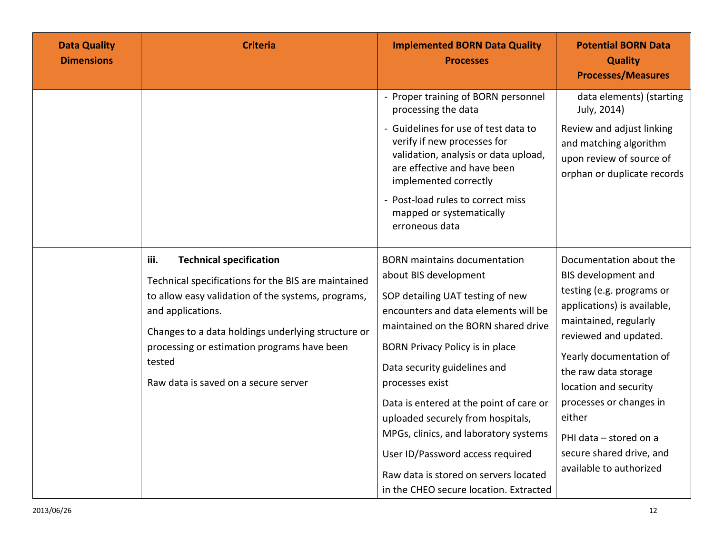| <b>Data Quality</b><br><b>Dimensions</b> | <b>Criteria</b>                                                                                                                                                                                                                                                                                                                 | <b>Implemented BORN Data Quality</b><br><b>Processes</b>                                                                                                                                                                                                                                                                                                                                                                                                                                                              | <b>Potential BORN Data</b><br><b>Quality</b><br><b>Processes/Measures</b>                                                                                                                                                                                                                                                                                      |
|------------------------------------------|---------------------------------------------------------------------------------------------------------------------------------------------------------------------------------------------------------------------------------------------------------------------------------------------------------------------------------|-----------------------------------------------------------------------------------------------------------------------------------------------------------------------------------------------------------------------------------------------------------------------------------------------------------------------------------------------------------------------------------------------------------------------------------------------------------------------------------------------------------------------|----------------------------------------------------------------------------------------------------------------------------------------------------------------------------------------------------------------------------------------------------------------------------------------------------------------------------------------------------------------|
|                                          |                                                                                                                                                                                                                                                                                                                                 | - Proper training of BORN personnel<br>processing the data<br>- Guidelines for use of test data to<br>verify if new processes for<br>validation, analysis or data upload,<br>are effective and have been<br>implemented correctly<br>- Post-load rules to correct miss<br>mapped or systematically<br>erroneous data                                                                                                                                                                                                  | data elements) (starting<br>July, 2014)<br>Review and adjust linking<br>and matching algorithm<br>upon review of source of<br>orphan or duplicate records                                                                                                                                                                                                      |
|                                          | iii.<br><b>Technical specification</b><br>Technical specifications for the BIS are maintained<br>to allow easy validation of the systems, programs,<br>and applications.<br>Changes to a data holdings underlying structure or<br>processing or estimation programs have been<br>tested<br>Raw data is saved on a secure server | <b>BORN</b> maintains documentation<br>about BIS development<br>SOP detailing UAT testing of new<br>encounters and data elements will be<br>maintained on the BORN shared drive<br>BORN Privacy Policy is in place<br>Data security guidelines and<br>processes exist<br>Data is entered at the point of care or<br>uploaded securely from hospitals,<br>MPGs, clinics, and laboratory systems<br>User ID/Password access required<br>Raw data is stored on servers located<br>in the CHEO secure location. Extracted | Documentation about the<br>BIS development and<br>testing (e.g. programs or<br>applications) is available,<br>maintained, regularly<br>reviewed and updated.<br>Yearly documentation of<br>the raw data storage<br>location and security<br>processes or changes in<br>either<br>PHI data - stored on a<br>secure shared drive, and<br>available to authorized |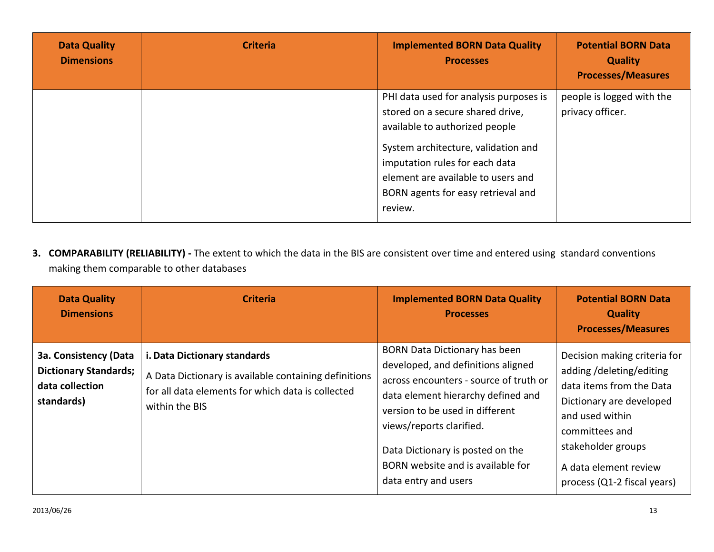| <b>Data Quality</b><br><b>Dimensions</b> | <b>Criteria</b> | <b>Implemented BORN Data Quality</b><br><b>Processes</b>                                                                                                                                                                                                                     | <b>Potential BORN Data</b><br><b>Quality</b><br><b>Processes/Measures</b> |
|------------------------------------------|-----------------|------------------------------------------------------------------------------------------------------------------------------------------------------------------------------------------------------------------------------------------------------------------------------|---------------------------------------------------------------------------|
|                                          |                 | PHI data used for analysis purposes is<br>stored on a secure shared drive,<br>available to authorized people<br>System architecture, validation and<br>imputation rules for each data<br>element are available to users and<br>BORN agents for easy retrieval and<br>review. | people is logged with the<br>privacy officer.                             |

**3. COMPARABILITY (RELIABILITY) -** The extent to which the data in the BIS are consistent over time and entered using standard conventions making them comparable to other databases

| <b>Data Quality</b><br><b>Dimensions</b>                                                      | <b>Criteria</b>                                                                                                                                              | <b>Implemented BORN Data Quality</b><br><b>Processes</b>                                                                                                                                                                                                                                                                   | <b>Potential BORN Data</b><br><b>Quality</b><br><b>Processes/Measures</b>                                                                                                                                                          |
|-----------------------------------------------------------------------------------------------|--------------------------------------------------------------------------------------------------------------------------------------------------------------|----------------------------------------------------------------------------------------------------------------------------------------------------------------------------------------------------------------------------------------------------------------------------------------------------------------------------|------------------------------------------------------------------------------------------------------------------------------------------------------------------------------------------------------------------------------------|
| <b>3a. Consistency (Data</b><br><b>Dictionary Standards;</b><br>data collection<br>standards) | i. Data Dictionary standards<br>A Data Dictionary is available containing definitions<br>for all data elements for which data is collected<br>within the BIS | <b>BORN Data Dictionary has been</b><br>developed, and definitions aligned<br>across encounters - source of truth or<br>data element hierarchy defined and<br>version to be used in different<br>views/reports clarified.<br>Data Dictionary is posted on the<br>BORN website and is available for<br>data entry and users | Decision making criteria for<br>adding/deleting/editing<br>data items from the Data<br>Dictionary are developed<br>and used within<br>committees and<br>stakeholder groups<br>A data element review<br>process (Q1-2 fiscal years) |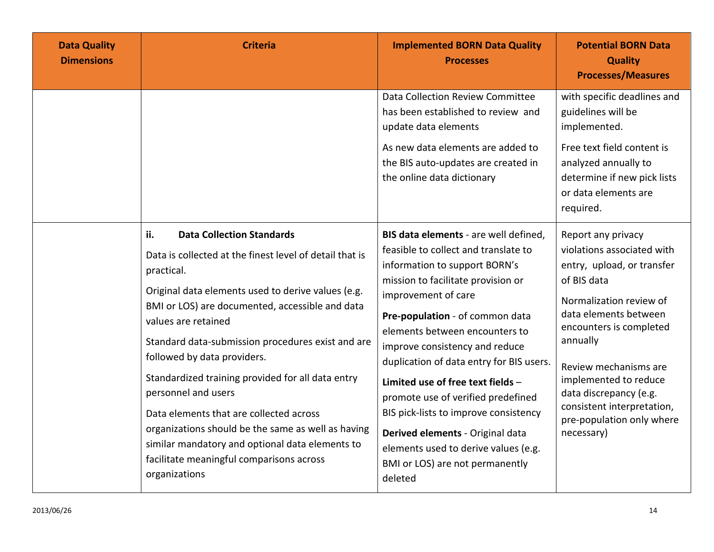| <b>Data Quality</b><br><b>Dimensions</b> | <b>Criteria</b>                                                                                                                                                                                                                                                                                                                                                                                                                                                                                                                                                                                                                   | <b>Implemented BORN Data Quality</b><br><b>Processes</b>                                                                                                                                                                                                                                                                                                                                                                                                                                                                                                          | <b>Potential BORN Data</b><br><b>Quality</b><br><b>Processes/Measures</b>                                                                                                                                                                                                                                                                     |
|------------------------------------------|-----------------------------------------------------------------------------------------------------------------------------------------------------------------------------------------------------------------------------------------------------------------------------------------------------------------------------------------------------------------------------------------------------------------------------------------------------------------------------------------------------------------------------------------------------------------------------------------------------------------------------------|-------------------------------------------------------------------------------------------------------------------------------------------------------------------------------------------------------------------------------------------------------------------------------------------------------------------------------------------------------------------------------------------------------------------------------------------------------------------------------------------------------------------------------------------------------------------|-----------------------------------------------------------------------------------------------------------------------------------------------------------------------------------------------------------------------------------------------------------------------------------------------------------------------------------------------|
|                                          |                                                                                                                                                                                                                                                                                                                                                                                                                                                                                                                                                                                                                                   | Data Collection Review Committee<br>has been established to review and<br>update data elements<br>As new data elements are added to<br>the BIS auto-updates are created in<br>the online data dictionary                                                                                                                                                                                                                                                                                                                                                          | with specific deadlines and<br>guidelines will be<br>implemented.<br>Free text field content is<br>analyzed annually to<br>determine if new pick lists<br>or data elements are<br>required.                                                                                                                                                   |
|                                          | ii.<br><b>Data Collection Standards</b><br>Data is collected at the finest level of detail that is<br>practical.<br>Original data elements used to derive values (e.g.<br>BMI or LOS) are documented, accessible and data<br>values are retained<br>Standard data-submission procedures exist and are<br>followed by data providers.<br>Standardized training provided for all data entry<br>personnel and users<br>Data elements that are collected across<br>organizations should be the same as well as having<br>similar mandatory and optional data elements to<br>facilitate meaningful comparisons across<br>organizations | BIS data elements - are well defined,<br>feasible to collect and translate to<br>information to support BORN's<br>mission to facilitate provision or<br>improvement of care<br>Pre-population - of common data<br>elements between encounters to<br>improve consistency and reduce<br>duplication of data entry for BIS users.<br>Limited use of free text fields -<br>promote use of verified predefined<br>BIS pick-lists to improve consistency<br>Derived elements - Original data<br>elements used to derive values (e.g.<br>BMI or LOS) are not permanently | Report any privacy<br>violations associated with<br>entry, upload, or transfer<br>of BIS data<br>Normalization review of<br>data elements between<br>encounters is completed<br>annually<br>Review mechanisms are<br>implemented to reduce<br>data discrepancy (e.g.<br>consistent interpretation,<br>pre-population only where<br>necessary) |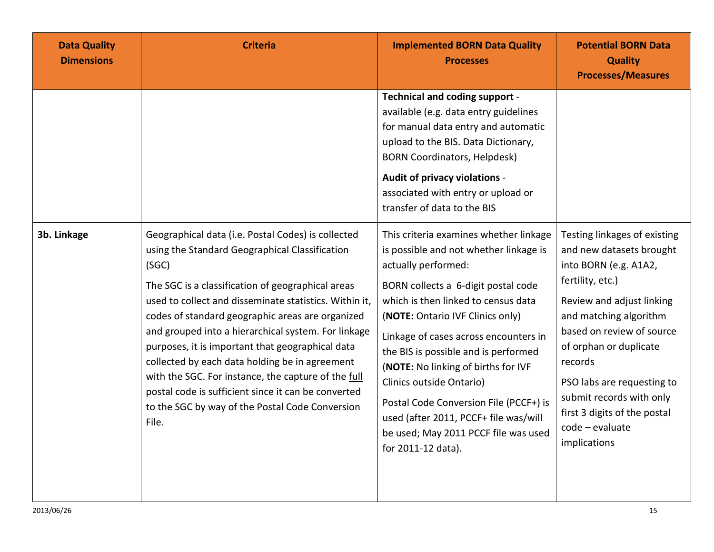| <b>Data Quality</b><br><b>Dimensions</b> | <b>Criteria</b>                                                                                                                                                                                                                                                                                                                                                                                                                                                                                                                                                                                                         | <b>Implemented BORN Data Quality</b><br><b>Processes</b>                                                                                                                                                                                                                                                                                                                                                                                                                                                                       | <b>Potential BORN Data</b><br><b>Quality</b><br><b>Processes/Measures</b>                                                                                                                                                                                                                                                                                   |
|------------------------------------------|-------------------------------------------------------------------------------------------------------------------------------------------------------------------------------------------------------------------------------------------------------------------------------------------------------------------------------------------------------------------------------------------------------------------------------------------------------------------------------------------------------------------------------------------------------------------------------------------------------------------------|--------------------------------------------------------------------------------------------------------------------------------------------------------------------------------------------------------------------------------------------------------------------------------------------------------------------------------------------------------------------------------------------------------------------------------------------------------------------------------------------------------------------------------|-------------------------------------------------------------------------------------------------------------------------------------------------------------------------------------------------------------------------------------------------------------------------------------------------------------------------------------------------------------|
|                                          |                                                                                                                                                                                                                                                                                                                                                                                                                                                                                                                                                                                                                         | Technical and coding support -<br>available (e.g. data entry guidelines<br>for manual data entry and automatic<br>upload to the BIS. Data Dictionary,<br><b>BORN Coordinators, Helpdesk)</b><br>Audit of privacy violations -<br>associated with entry or upload or<br>transfer of data to the BIS                                                                                                                                                                                                                             |                                                                                                                                                                                                                                                                                                                                                             |
| 3b. Linkage                              | Geographical data (i.e. Postal Codes) is collected<br>using the Standard Geographical Classification<br>(SGC)<br>The SGC is a classification of geographical areas<br>used to collect and disseminate statistics. Within it,<br>codes of standard geographic areas are organized<br>and grouped into a hierarchical system. For linkage<br>purposes, it is important that geographical data<br>collected by each data holding be in agreement<br>with the SGC. For instance, the capture of the full<br>postal code is sufficient since it can be converted<br>to the SGC by way of the Postal Code Conversion<br>File. | This criteria examines whether linkage<br>is possible and not whether linkage is<br>actually performed:<br>BORN collects a 6-digit postal code<br>which is then linked to census data<br>(NOTE: Ontario IVF Clinics only)<br>Linkage of cases across encounters in<br>the BIS is possible and is performed<br>(NOTE: No linking of births for IVF<br>Clinics outside Ontario)<br>Postal Code Conversion File (PCCF+) is<br>used (after 2011, PCCF+ file was/will<br>be used; May 2011 PCCF file was used<br>for 2011-12 data). | Testing linkages of existing<br>and new datasets brought<br>into BORN (e.g. A1A2,<br>fertility, etc.)<br>Review and adjust linking<br>and matching algorithm<br>based on review of source<br>of orphan or duplicate<br>records<br>PSO labs are requesting to<br>submit records with only<br>first 3 digits of the postal<br>code - evaluate<br>implications |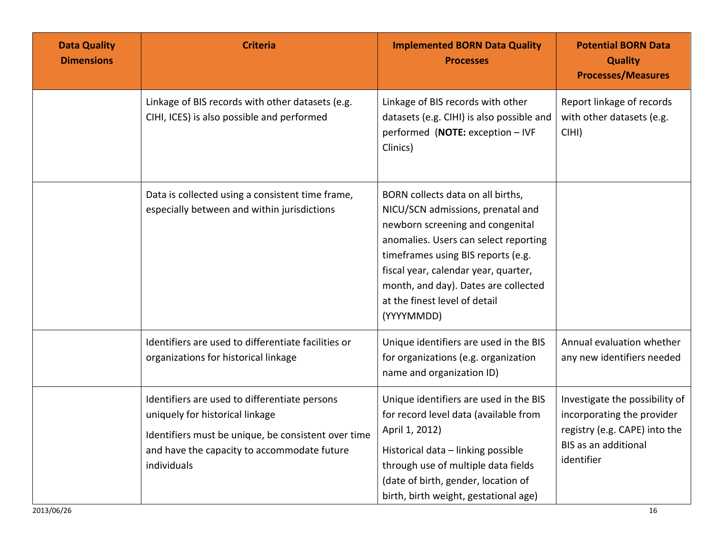| <b>Data Quality</b><br><b>Dimensions</b> | <b>Criteria</b>                                                                                                                                                                                       | <b>Implemented BORN Data Quality</b><br><b>Processes</b>                                                                                                                                                                                                                                                                 | <b>Potential BORN Data</b><br><b>Quality</b><br><b>Processes/Measures</b>                                                                  |
|------------------------------------------|-------------------------------------------------------------------------------------------------------------------------------------------------------------------------------------------------------|--------------------------------------------------------------------------------------------------------------------------------------------------------------------------------------------------------------------------------------------------------------------------------------------------------------------------|--------------------------------------------------------------------------------------------------------------------------------------------|
|                                          | Linkage of BIS records with other datasets (e.g.<br>CIHI, ICES) is also possible and performed                                                                                                        | Linkage of BIS records with other<br>datasets (e.g. CIHI) is also possible and<br>performed (NOTE: exception - IVF<br>Clinics)                                                                                                                                                                                           | Report linkage of records<br>with other datasets (e.g.<br>CIHI)                                                                            |
|                                          | Data is collected using a consistent time frame,<br>especially between and within jurisdictions                                                                                                       | BORN collects data on all births,<br>NICU/SCN admissions, prenatal and<br>newborn screening and congenital<br>anomalies. Users can select reporting<br>timeframes using BIS reports (e.g.<br>fiscal year, calendar year, quarter,<br>month, and day). Dates are collected<br>at the finest level of detail<br>(YYYYMMDD) |                                                                                                                                            |
|                                          | Identifiers are used to differentiate facilities or<br>organizations for historical linkage                                                                                                           | Unique identifiers are used in the BIS<br>for organizations (e.g. organization<br>name and organization ID)                                                                                                                                                                                                              | Annual evaluation whether<br>any new identifiers needed                                                                                    |
|                                          | Identifiers are used to differentiate persons<br>uniquely for historical linkage<br>Identifiers must be unique, be consistent over time<br>and have the capacity to accommodate future<br>individuals | Unique identifiers are used in the BIS<br>for record level data (available from<br>April 1, 2012)<br>Historical data - linking possible<br>through use of multiple data fields<br>(date of birth, gender, location of<br>birth, birth weight, gestational age)                                                           | Investigate the possibility of<br>incorporating the provider<br>registry (e.g. CAPE) into the<br><b>BIS as an additional</b><br>identifier |
| 2013/06/26                               |                                                                                                                                                                                                       |                                                                                                                                                                                                                                                                                                                          | 16                                                                                                                                         |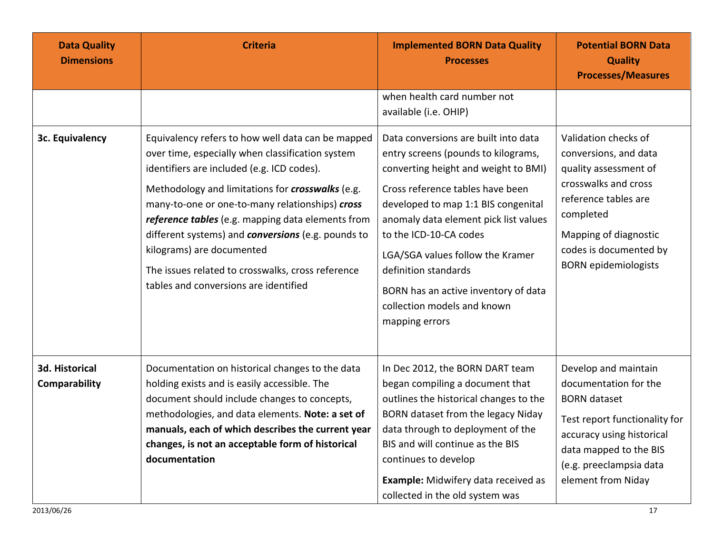| <b>Data Quality</b><br><b>Dimensions</b> | <b>Criteria</b>                                                                                                                                                                                                                                                                                                                                                                                                                                                                                         | <b>Implemented BORN Data Quality</b><br><b>Processes</b>                                                                                                                                                                                                                                                                                                                                                               | <b>Potential BORN Data</b><br><b>Quality</b><br><b>Processes/Measures</b>                                                                                                                                             |
|------------------------------------------|---------------------------------------------------------------------------------------------------------------------------------------------------------------------------------------------------------------------------------------------------------------------------------------------------------------------------------------------------------------------------------------------------------------------------------------------------------------------------------------------------------|------------------------------------------------------------------------------------------------------------------------------------------------------------------------------------------------------------------------------------------------------------------------------------------------------------------------------------------------------------------------------------------------------------------------|-----------------------------------------------------------------------------------------------------------------------------------------------------------------------------------------------------------------------|
|                                          |                                                                                                                                                                                                                                                                                                                                                                                                                                                                                                         | when health card number not<br>available (i.e. OHIP)                                                                                                                                                                                                                                                                                                                                                                   |                                                                                                                                                                                                                       |
| 3c. Equivalency                          | Equivalency refers to how well data can be mapped<br>over time, especially when classification system<br>identifiers are included (e.g. ICD codes).<br>Methodology and limitations for crosswalks (e.g.<br>many-to-one or one-to-many relationships) cross<br>reference tables (e.g. mapping data elements from<br>different systems) and <b>conversions</b> (e.g. pounds to<br>kilograms) are documented<br>The issues related to crosswalks, cross reference<br>tables and conversions are identified | Data conversions are built into data<br>entry screens (pounds to kilograms,<br>converting height and weight to BMI)<br>Cross reference tables have been<br>developed to map 1:1 BIS congenital<br>anomaly data element pick list values<br>to the ICD-10-CA codes<br>LGA/SGA values follow the Kramer<br>definition standards<br>BORN has an active inventory of data<br>collection models and known<br>mapping errors | Validation checks of<br>conversions, and data<br>quality assessment of<br>crosswalks and cross<br>reference tables are<br>completed<br>Mapping of diagnostic<br>codes is documented by<br><b>BORN</b> epidemiologists |
| 3d. Historical<br>Comparability          | Documentation on historical changes to the data<br>holding exists and is easily accessible. The<br>document should include changes to concepts,<br>methodologies, and data elements. Note: a set of<br>manuals, each of which describes the current year<br>changes, is not an acceptable form of historical<br>documentation                                                                                                                                                                           | In Dec 2012, the BORN DART team<br>began compiling a document that<br>outlines the historical changes to the<br>BORN dataset from the legacy Niday<br>data through to deployment of the<br>BIS and will continue as the BIS<br>continues to develop<br>Example: Midwifery data received as<br>collected in the old system was                                                                                          | Develop and maintain<br>documentation for the<br><b>BORN</b> dataset<br>Test report functionality for<br>accuracy using historical<br>data mapped to the BIS<br>(e.g. preeclampsia data<br>element from Niday         |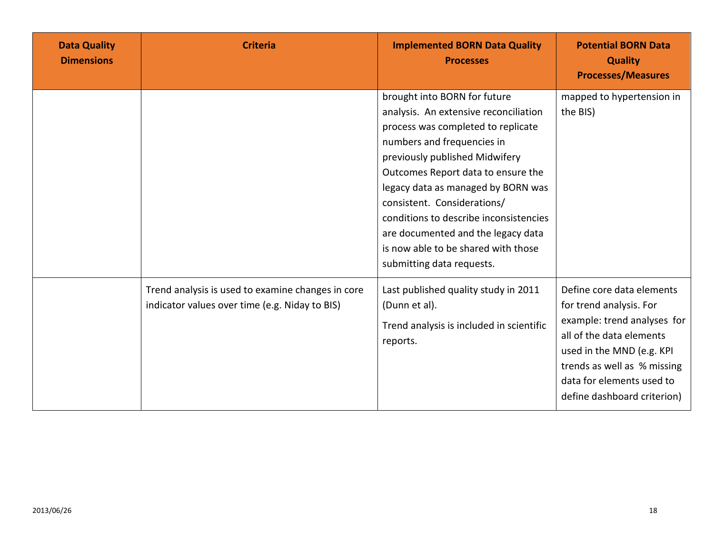| <b>Data Quality</b><br><b>Dimensions</b> | <b>Criteria</b>                                                                                     | <b>Implemented BORN Data Quality</b><br><b>Processes</b>                                                                                                                                                                                                                                                                                                                                                                                   | <b>Potential BORN Data</b><br><b>Quality</b><br><b>Processes/Measures</b>                                                                                                                                                               |
|------------------------------------------|-----------------------------------------------------------------------------------------------------|--------------------------------------------------------------------------------------------------------------------------------------------------------------------------------------------------------------------------------------------------------------------------------------------------------------------------------------------------------------------------------------------------------------------------------------------|-----------------------------------------------------------------------------------------------------------------------------------------------------------------------------------------------------------------------------------------|
|                                          |                                                                                                     | brought into BORN for future<br>analysis. An extensive reconciliation<br>process was completed to replicate<br>numbers and frequencies in<br>previously published Midwifery<br>Outcomes Report data to ensure the<br>legacy data as managed by BORN was<br>consistent. Considerations/<br>conditions to describe inconsistencies<br>are documented and the legacy data<br>is now able to be shared with those<br>submitting data requests. | mapped to hypertension in<br>the BIS)                                                                                                                                                                                                   |
|                                          | Trend analysis is used to examine changes in core<br>indicator values over time (e.g. Niday to BIS) | Last published quality study in 2011<br>(Dunn et al).<br>Trend analysis is included in scientific<br>reports.                                                                                                                                                                                                                                                                                                                              | Define core data elements<br>for trend analysis. For<br>example: trend analyses for<br>all of the data elements<br>used in the MND (e.g. KPI<br>trends as well as % missing<br>data for elements used to<br>define dashboard criterion) |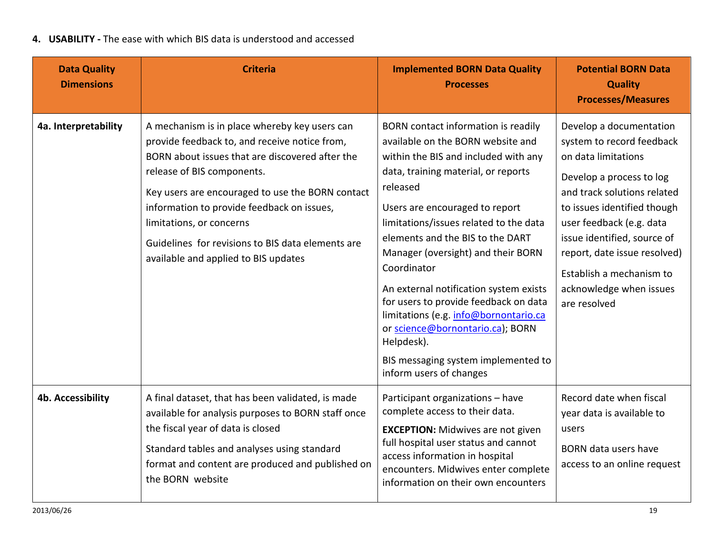### **4. USABILITY -** The ease with which BIS data is understood and accessed

| <b>Data Quality</b><br><b>Dimensions</b> | <b>Criteria</b>                                                                                                                                                                                                                                                                                                                                                                                            | <b>Implemented BORN Data Quality</b><br><b>Processes</b>                                                                                                                                                                                                                                                                                                                                                                                                                                                                                                                                 | <b>Potential BORN Data</b><br><b>Quality</b><br><b>Processes/Measures</b>                                                                                                                                                                                                                                                               |
|------------------------------------------|------------------------------------------------------------------------------------------------------------------------------------------------------------------------------------------------------------------------------------------------------------------------------------------------------------------------------------------------------------------------------------------------------------|------------------------------------------------------------------------------------------------------------------------------------------------------------------------------------------------------------------------------------------------------------------------------------------------------------------------------------------------------------------------------------------------------------------------------------------------------------------------------------------------------------------------------------------------------------------------------------------|-----------------------------------------------------------------------------------------------------------------------------------------------------------------------------------------------------------------------------------------------------------------------------------------------------------------------------------------|
| 4a. Interpretability                     | A mechanism is in place whereby key users can<br>provide feedback to, and receive notice from,<br>BORN about issues that are discovered after the<br>release of BIS components.<br>Key users are encouraged to use the BORN contact<br>information to provide feedback on issues,<br>limitations, or concerns<br>Guidelines for revisions to BIS data elements are<br>available and applied to BIS updates | BORN contact information is readily<br>available on the BORN website and<br>within the BIS and included with any<br>data, training material, or reports<br>released<br>Users are encouraged to report<br>limitations/issues related to the data<br>elements and the BIS to the DART<br>Manager (oversight) and their BORN<br>Coordinator<br>An external notification system exists<br>for users to provide feedback on data<br>limitations (e.g. info@bornontario.ca<br>or science@bornontario.ca); BORN<br>Helpdesk).<br>BIS messaging system implemented to<br>inform users of changes | Develop a documentation<br>system to record feedback<br>on data limitations<br>Develop a process to log<br>and track solutions related<br>to issues identified though<br>user feedback (e.g. data<br>issue identified, source of<br>report, date issue resolved)<br>Establish a mechanism to<br>acknowledge when issues<br>are resolved |
| <b>4b. Accessibility</b>                 | A final dataset, that has been validated, is made<br>available for analysis purposes to BORN staff once<br>the fiscal year of data is closed<br>Standard tables and analyses using standard<br>format and content are produced and published on<br>the BORN website                                                                                                                                        | Participant organizations - have<br>complete access to their data.<br><b>EXCEPTION:</b> Midwives are not given<br>full hospital user status and cannot<br>access information in hospital<br>encounters. Midwives enter complete<br>information on their own encounters                                                                                                                                                                                                                                                                                                                   | Record date when fiscal<br>year data is available to<br>users<br>BORN data users have<br>access to an online request                                                                                                                                                                                                                    |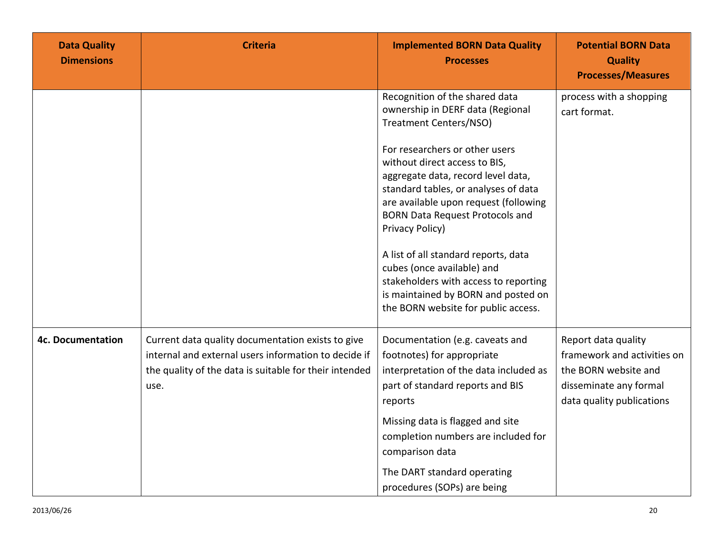| <b>Data Quality</b><br><b>Dimensions</b> | <b>Criteria</b>                                                                                                                                                             | <b>Implemented BORN Data Quality</b><br><b>Processes</b>                                                                                                                                                                                                                                    | <b>Potential BORN Data</b><br><b>Quality</b><br><b>Processes/Measures</b>                                                         |
|------------------------------------------|-----------------------------------------------------------------------------------------------------------------------------------------------------------------------------|---------------------------------------------------------------------------------------------------------------------------------------------------------------------------------------------------------------------------------------------------------------------------------------------|-----------------------------------------------------------------------------------------------------------------------------------|
|                                          |                                                                                                                                                                             | Recognition of the shared data<br>ownership in DERF data (Regional<br>Treatment Centers/NSO)                                                                                                                                                                                                | process with a shopping<br>cart format.                                                                                           |
|                                          |                                                                                                                                                                             | For researchers or other users<br>without direct access to BIS,<br>aggregate data, record level data,<br>standard tables, or analyses of data<br>are available upon request (following<br><b>BORN Data Request Protocols and</b><br>Privacy Policy)<br>A list of all standard reports, data |                                                                                                                                   |
|                                          |                                                                                                                                                                             | cubes (once available) and<br>stakeholders with access to reporting<br>is maintained by BORN and posted on<br>the BORN website for public access.                                                                                                                                           |                                                                                                                                   |
| <b>4c. Documentation</b>                 | Current data quality documentation exists to give<br>internal and external users information to decide if<br>the quality of the data is suitable for their intended<br>use. | Documentation (e.g. caveats and<br>footnotes) for appropriate<br>interpretation of the data included as<br>part of standard reports and BIS<br>reports                                                                                                                                      | Report data quality<br>framework and activities on<br>the BORN website and<br>disseminate any formal<br>data quality publications |
|                                          |                                                                                                                                                                             | Missing data is flagged and site<br>completion numbers are included for<br>comparison data<br>The DART standard operating<br>procedures (SOPs) are being                                                                                                                                    |                                                                                                                                   |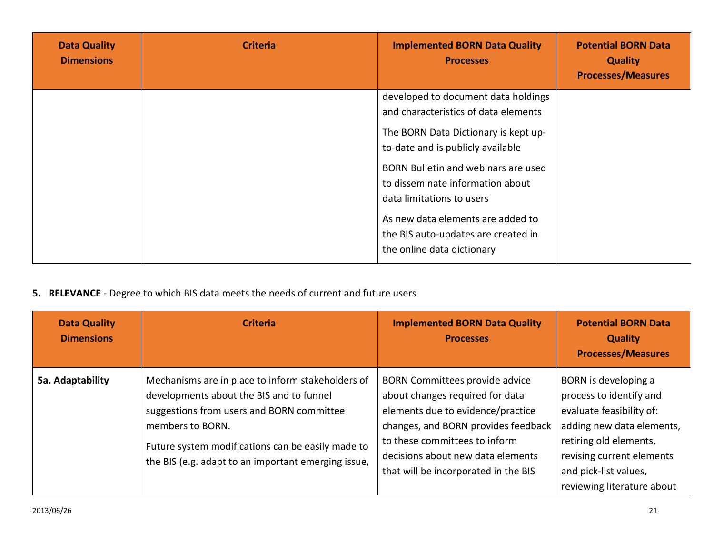| <b>Data Quality</b><br><b>Dimensions</b> | <b>Criteria</b> | <b>Implemented BORN Data Quality</b><br><b>Processes</b>                                                                                                                                                                                                                                                                                                                   | <b>Potential BORN Data</b><br><b>Quality</b><br><b>Processes/Measures</b> |
|------------------------------------------|-----------------|----------------------------------------------------------------------------------------------------------------------------------------------------------------------------------------------------------------------------------------------------------------------------------------------------------------------------------------------------------------------------|---------------------------------------------------------------------------|
|                                          |                 | developed to document data holdings<br>and characteristics of data elements<br>The BORN Data Dictionary is kept up-<br>to-date and is publicly available<br>BORN Bulletin and webinars are used<br>to disseminate information about<br>data limitations to users<br>As new data elements are added to<br>the BIS auto-updates are created in<br>the online data dictionary |                                                                           |

## **5. RELEVANCE** - Degree to which BIS data meets the needs of current and future users

| <b>Data Quality</b><br><b>Dimensions</b> | <b>Criteria</b>                                                                                                                                                                                                                                                            | <b>Implemented BORN Data Quality</b><br><b>Processes</b>                                                                                                                                                                                                           | <b>Potential BORN Data</b><br><b>Quality</b><br><b>Processes/Measures</b>                                                                                                                                              |
|------------------------------------------|----------------------------------------------------------------------------------------------------------------------------------------------------------------------------------------------------------------------------------------------------------------------------|--------------------------------------------------------------------------------------------------------------------------------------------------------------------------------------------------------------------------------------------------------------------|------------------------------------------------------------------------------------------------------------------------------------------------------------------------------------------------------------------------|
| 5a. Adaptability                         | Mechanisms are in place to inform stakeholders of<br>developments about the BIS and to funnel<br>suggestions from users and BORN committee<br>members to BORN.<br>Future system modifications can be easily made to<br>the BIS (e.g. adapt to an important emerging issue, | <b>BORN Committees provide advice</b><br>about changes required for data<br>elements due to evidence/practice<br>changes, and BORN provides feedback<br>to these committees to inform<br>decisions about new data elements<br>that will be incorporated in the BIS | BORN is developing a<br>process to identify and<br>evaluate feasibility of:<br>adding new data elements,<br>retiring old elements,<br>revising current elements<br>and pick-list values,<br>reviewing literature about |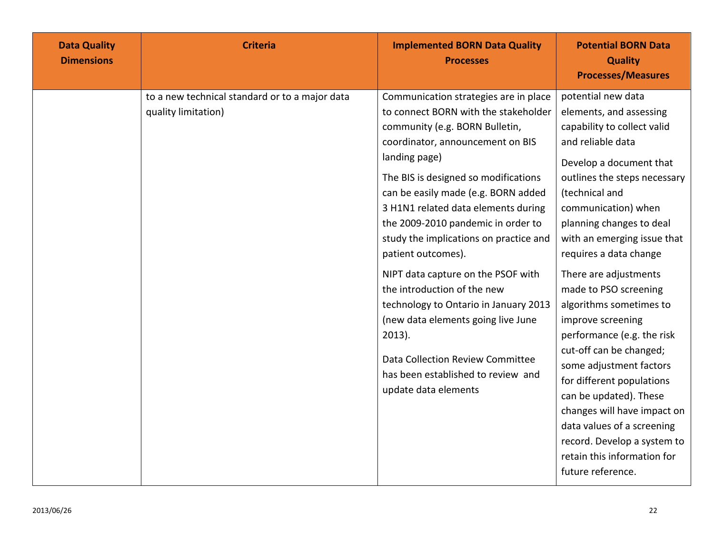| <b>Data Quality</b><br><b>Dimensions</b> | <b>Criteria</b>                                                       | <b>Implemented BORN Data Quality</b><br><b>Processes</b>                                                                                                                                                                                                                                                                                                                                                                                                                                                                                                                                                                                                            | <b>Potential BORN Data</b><br><b>Quality</b><br><b>Processes/Measures</b>                                                                                                                                                                                                                                                                                                                                                                                                                                                                                                                                                                                                               |
|------------------------------------------|-----------------------------------------------------------------------|---------------------------------------------------------------------------------------------------------------------------------------------------------------------------------------------------------------------------------------------------------------------------------------------------------------------------------------------------------------------------------------------------------------------------------------------------------------------------------------------------------------------------------------------------------------------------------------------------------------------------------------------------------------------|-----------------------------------------------------------------------------------------------------------------------------------------------------------------------------------------------------------------------------------------------------------------------------------------------------------------------------------------------------------------------------------------------------------------------------------------------------------------------------------------------------------------------------------------------------------------------------------------------------------------------------------------------------------------------------------------|
|                                          | to a new technical standard or to a major data<br>quality limitation) | Communication strategies are in place<br>to connect BORN with the stakeholder<br>community (e.g. BORN Bulletin,<br>coordinator, announcement on BIS<br>landing page)<br>The BIS is designed so modifications<br>can be easily made (e.g. BORN added<br>3 H1N1 related data elements during<br>the 2009-2010 pandemic in order to<br>study the implications on practice and<br>patient outcomes).<br>NIPT data capture on the PSOF with<br>the introduction of the new<br>technology to Ontario in January 2013<br>(new data elements going live June<br>$2013$ ).<br>Data Collection Review Committee<br>has been established to review and<br>update data elements | potential new data<br>elements, and assessing<br>capability to collect valid<br>and reliable data<br>Develop a document that<br>outlines the steps necessary<br>(technical and<br>communication) when<br>planning changes to deal<br>with an emerging issue that<br>requires a data change<br>There are adjustments<br>made to PSO screening<br>algorithms sometimes to<br>improve screening<br>performance (e.g. the risk<br>cut-off can be changed;<br>some adjustment factors<br>for different populations<br>can be updated). These<br>changes will have impact on<br>data values of a screening<br>record. Develop a system to<br>retain this information for<br>future reference. |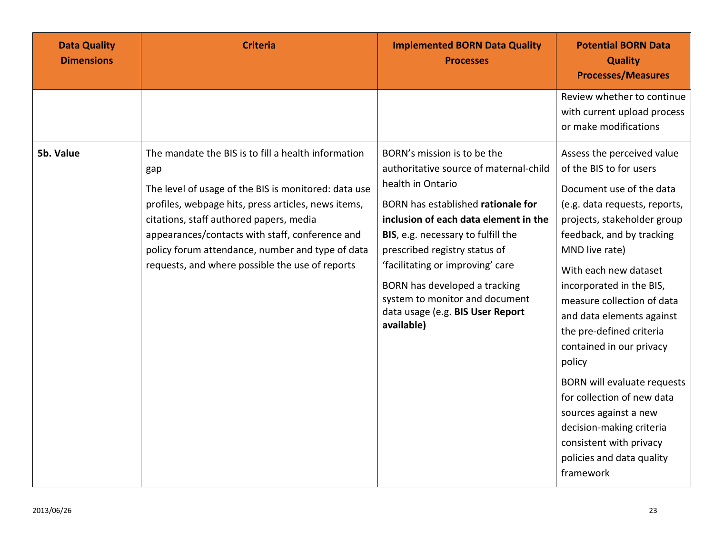| <b>Data Quality</b><br><b>Dimensions</b> | <b>Criteria</b>                                                                                                                                                                                                                                                                                                                                                                | <b>Implemented BORN Data Quality</b><br><b>Processes</b>                                                                                                                                                                                                                                                                                                                                                  | <b>Potential BORN Data</b><br><b>Quality</b><br><b>Processes/Measures</b>                                                                                                                                                                                                                                                                                                                                                                                                                                                                                                        |
|------------------------------------------|--------------------------------------------------------------------------------------------------------------------------------------------------------------------------------------------------------------------------------------------------------------------------------------------------------------------------------------------------------------------------------|-----------------------------------------------------------------------------------------------------------------------------------------------------------------------------------------------------------------------------------------------------------------------------------------------------------------------------------------------------------------------------------------------------------|----------------------------------------------------------------------------------------------------------------------------------------------------------------------------------------------------------------------------------------------------------------------------------------------------------------------------------------------------------------------------------------------------------------------------------------------------------------------------------------------------------------------------------------------------------------------------------|
|                                          |                                                                                                                                                                                                                                                                                                                                                                                |                                                                                                                                                                                                                                                                                                                                                                                                           | Review whether to continue<br>with current upload process<br>or make modifications                                                                                                                                                                                                                                                                                                                                                                                                                                                                                               |
| 5b. Value                                | The mandate the BIS is to fill a health information<br>gap<br>The level of usage of the BIS is monitored: data use<br>profiles, webpage hits, press articles, news items,<br>citations, staff authored papers, media<br>appearances/contacts with staff, conference and<br>policy forum attendance, number and type of data<br>requests, and where possible the use of reports | BORN's mission is to be the<br>authoritative source of maternal-child<br>health in Ontario<br>BORN has established rationale for<br>inclusion of each data element in the<br>BIS, e.g. necessary to fulfill the<br>prescribed registry status of<br>'facilitating or improving' care<br>BORN has developed a tracking<br>system to monitor and document<br>data usage (e.g. BIS User Report<br>available) | Assess the perceived value<br>of the BIS to for users<br>Document use of the data<br>(e.g. data requests, reports,<br>projects, stakeholder group<br>feedback, and by tracking<br>MND live rate)<br>With each new dataset<br>incorporated in the BIS,<br>measure collection of data<br>and data elements against<br>the pre-defined criteria<br>contained in our privacy<br>policy<br><b>BORN</b> will evaluate requests<br>for collection of new data<br>sources against a new<br>decision-making criteria<br>consistent with privacy<br>policies and data quality<br>framework |